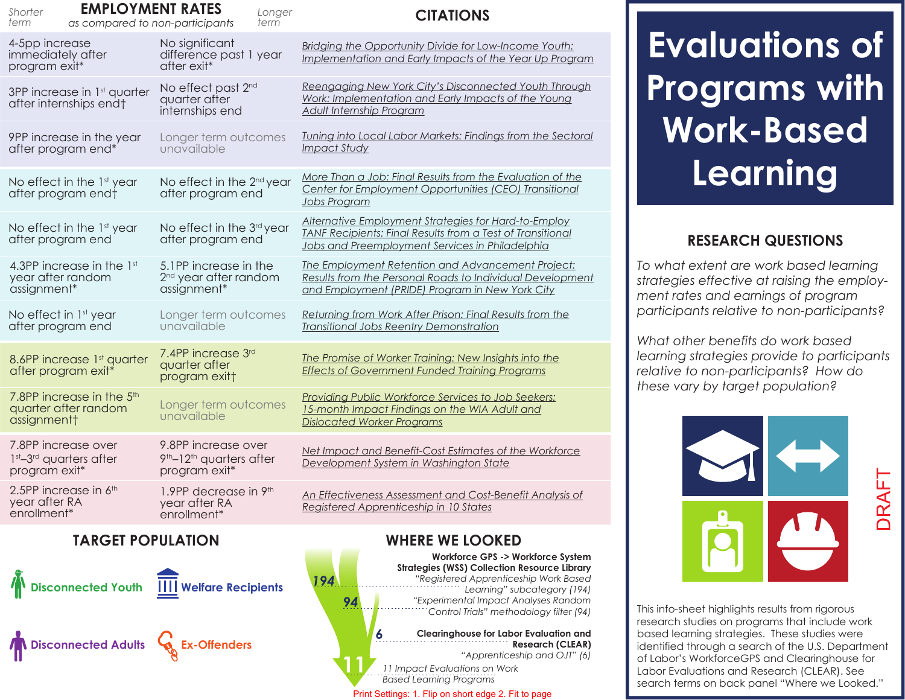| Shorter<br>term                                                                          | <b>EMPLOYMENT RATES</b><br>as compared to non-participants | Longer<br>term                                                          | <b>CITATIONS</b>                                                                                                                                                      |
|------------------------------------------------------------------------------------------|------------------------------------------------------------|-------------------------------------------------------------------------|-----------------------------------------------------------------------------------------------------------------------------------------------------------------------|
| 4-5pp increase<br>immediately after<br>program exit*                                     | No significant<br>after exit*                              | difference past 1 year                                                  | Bridging the Opportunity Divide for Low-Income Youth:<br>Implementation and Early Impacts of the Year Up Program                                                      |
| 3PP increase in 1st quarter<br>after internships endt                                    | quarter after<br>internships end                           | No effect past 2nd                                                      | Reengaging New York City's Disconnected Youth Through<br>Work: Implementation and Early Impacts of the Young<br>Adult Internship Program                              |
| 9PP increase in the year<br>after program end*                                           | unavailable                                                | Longer term outcomes                                                    | Tuning into Local Labor Markets: Findings from the Sectoral<br><b>Impact Study</b>                                                                                    |
| No effect in the 1st year<br>after program end <sup>+</sup>                              |                                                            | No effect in the 2 <sup>nd</sup> year<br>after program end              | More Than a Job: Final Results from the Evaluation of the<br>Center for Employment Opportunities (CEO) Transitional<br><b>Jobs Program</b>                            |
| No effect in the 1st year<br>after program end                                           |                                                            | No effect in the 3rd year<br>after program end                          | Alternative Employment Strategies for Hard-to-Employ<br>TANF Recipients: Final Results from a Test of Transitional<br>Jobs and Preemployment Services in Philadelphia |
| 4.3PP increase in the 1st<br>year after random<br>assignment*                            | assignment <sup>*</sup>                                    | 5.1PP increase in the<br>2 <sup>nd</sup> year after random              | The Employment Retention and Advancement Project:<br>Results from the Personal Roads to Individual Development<br>and Employment (PRIDE) Program in New York City     |
| No effect in 1st year<br>after program end                                               | unavailable                                                | Longer term outcomes                                                    | Returning from Work After Prison: Final Results from the<br><b>Transitional Jobs Reentry Demonstration</b>                                                            |
| 8.6PP increase 1st quarter<br>after program exit*                                        | quarter after<br>program exitt                             | 7.4PP increase 3rd                                                      | The Promise of Worker Training: New Insights into the<br><b>Effects of Government Funded Training Programs</b>                                                        |
| 7.8PP increase in the 5 <sup>th</sup><br>quarter after random<br>assignment <sup>+</sup> | unavailable                                                | Longer term outcomes                                                    | Providing Public Workforce Services to Job Seekers:<br>15-month Impact Findings on the WIA Adult and<br><b>Dislocated Worker Programs</b>                             |
| 7.8PP increase over<br>1 <sup>st-3rd</sup> quarters after<br>program exit*               | program exit*                                              | 9.8PP increase over<br>9 <sup>th</sup> -12 <sup>th</sup> quarters after | Net Impact and Benefit-Cost Estimates of the Workforce<br>Development System in Washington State                                                                      |
| 2.5PP increase in 6th<br>year after RA<br>enrollment <sup>*</sup>                        | year after RA<br>enrollment <sup>*</sup>                   | 1.9PP decrease in 9th                                                   | An Effectiveness Assessment and Cost-Benefit Analysis of<br>Registered Apprenticeship in 10 States                                                                    |
|                                                                                          |                                                            |                                                                         |                                                                                                                                                                       |

### **TARGET POPULATION**



# **Evaluations of Programs with Work-Based Learning**

## **RESEARCH QUESTIONS**

*To what extent are work based learning strategies effective at raising the employment rates and earnings of program participants relative to non-participants?*

*What other benefits do work based learning strategies provide to participants relative to non-participants? How do these vary by target population?*



This info-sheet highlights results from rigorous research studies on programs that include work based learning strategies. These studies were identified through a search of the U.S. Department of Labor's WorkforceGPS and Clearinghouse for Labor Evaluations and Research (CLEAR). See search terms on back panel "Where we Looked."

**WHERE WE LOOKED Workforce GPS -> Workforce System Strategies (WSS) Collection Resource Library** *"Registered Apprenticeship Work Based*  194 *Learning" subcategory (194)* 94 *"Experimental Impact Analyses Random Control Trials" methodology filter (94)* 6 **Clearinghouse for Labor Evaluation and Research (CLEAR)** *"Apprenticeship and OJT" (6) 11 Impact Evaluations on Work Based Learning Programs*

Print Settings: 1. Flip on short edge 2. Fit to page